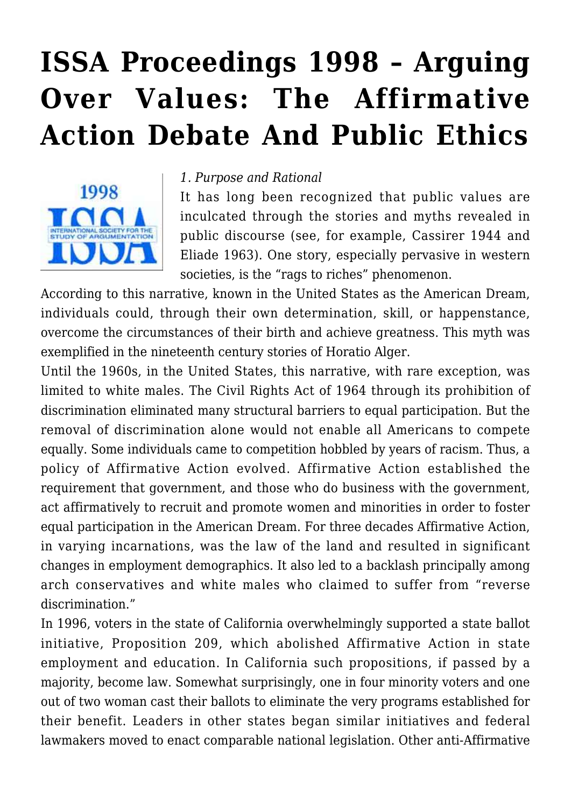# **[ISSA Proceedings 1998 – Arguing](https://rozenbergquarterly.com/issa-proceedings-1998-arguing-over-values-the-affirmative-action-debate-and-public-ethics/) [Over Values: The Affirmative](https://rozenbergquarterly.com/issa-proceedings-1998-arguing-over-values-the-affirmative-action-debate-and-public-ethics/) [Action Debate And Public Ethics](https://rozenbergquarterly.com/issa-proceedings-1998-arguing-over-values-the-affirmative-action-debate-and-public-ethics/)**



#### *1. Purpose and Rational*

It has long been recognized that public values are inculcated through the stories and myths revealed in public discourse (see, for example, Cassirer 1944 and Eliade 1963). One story, especially pervasive in western societies, is the "rags to riches" phenomenon.

According to this narrative, known in the United States as the American Dream, individuals could, through their own determination, skill, or happenstance, overcome the circumstances of their birth and achieve greatness. This myth was exemplified in the nineteenth century stories of Horatio Alger.

Until the 1960s, in the United States, this narrative, with rare exception, was limited to white males. The Civil Rights Act of 1964 through its prohibition of discrimination eliminated many structural barriers to equal participation. But the removal of discrimination alone would not enable all Americans to compete equally. Some individuals came to competition hobbled by years of racism. Thus, a policy of Affirmative Action evolved. Affirmative Action established the requirement that government, and those who do business with the government. act affirmatively to recruit and promote women and minorities in order to foster equal participation in the American Dream. For three decades Affirmative Action, in varying incarnations, was the law of the land and resulted in significant changes in employment demographics. It also led to a backlash principally among arch conservatives and white males who claimed to suffer from "reverse discrimination."

In 1996, voters in the state of California overwhelmingly supported a state ballot initiative, Proposition 209, which abolished Affirmative Action in state employment and education. In California such propositions, if passed by a majority, become law. Somewhat surprisingly, one in four minority voters and one out of two woman cast their ballots to eliminate the very programs established for their benefit. Leaders in other states began similar initiatives and federal lawmakers moved to enact comparable national legislation. Other anti-Affirmative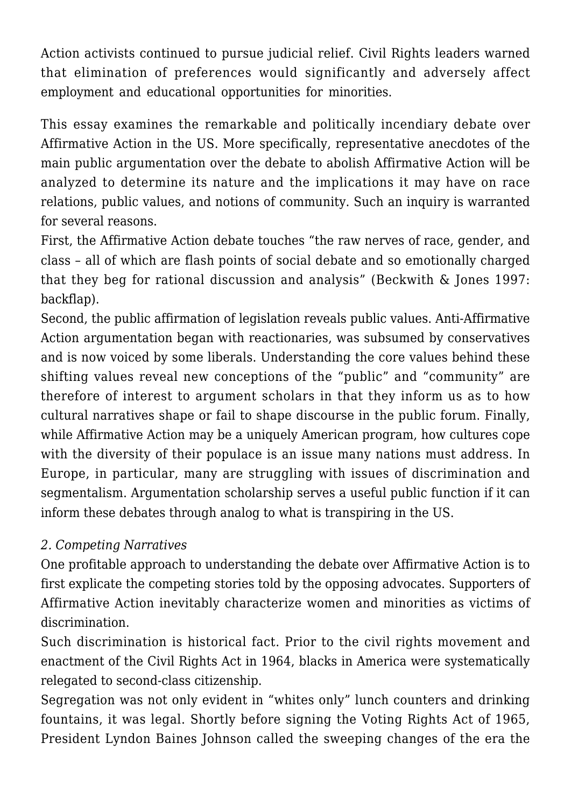Action activists continued to pursue judicial relief. Civil Rights leaders warned that elimination of preferences would significantly and adversely affect employment and educational opportunities for minorities.

This essay examines the remarkable and politically incendiary debate over Affirmative Action in the US. More specifically, representative anecdotes of the main public argumentation over the debate to abolish Affirmative Action will be analyzed to determine its nature and the implications it may have on race relations, public values, and notions of community. Such an inquiry is warranted for several reasons.

First, the Affirmative Action debate touches "the raw nerves of race, gender, and class – all of which are flash points of social debate and so emotionally charged that they beg for rational discussion and analysis" (Beckwith & Jones 1997: backflap).

Second, the public affirmation of legislation reveals public values. Anti-Affirmative Action argumentation began with reactionaries, was subsumed by conservatives and is now voiced by some liberals. Understanding the core values behind these shifting values reveal new conceptions of the "public" and "community" are therefore of interest to argument scholars in that they inform us as to how cultural narratives shape or fail to shape discourse in the public forum. Finally, while Affirmative Action may be a uniquely American program, how cultures cope with the diversity of their populace is an issue many nations must address. In Europe, in particular, many are struggling with issues of discrimination and segmentalism. Argumentation scholarship serves a useful public function if it can inform these debates through analog to what is transpiring in the US.

# *2. Competing Narratives*

One profitable approach to understanding the debate over Affirmative Action is to first explicate the competing stories told by the opposing advocates. Supporters of Affirmative Action inevitably characterize women and minorities as victims of discrimination.

Such discrimination is historical fact. Prior to the civil rights movement and enactment of the Civil Rights Act in 1964, blacks in America were systematically relegated to second-class citizenship.

Segregation was not only evident in "whites only" lunch counters and drinking fountains, it was legal. Shortly before signing the Voting Rights Act of 1965, President Lyndon Baines Johnson called the sweeping changes of the era the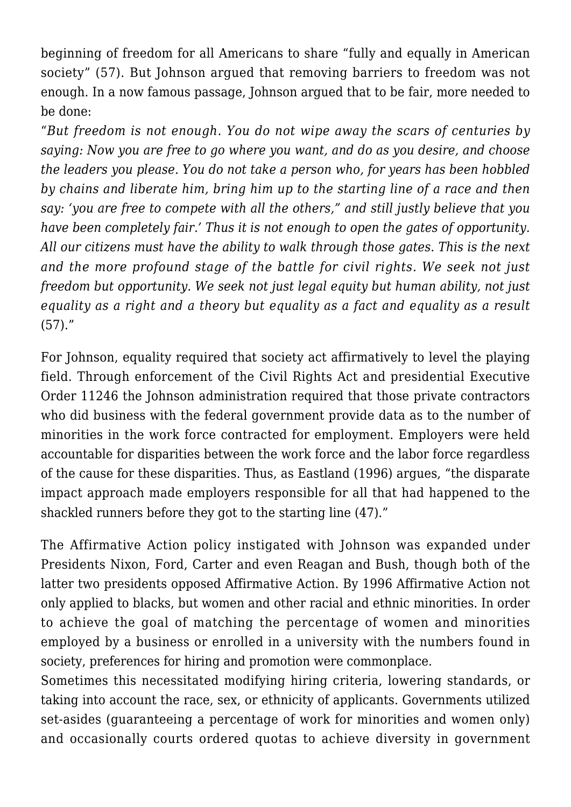beginning of freedom for all Americans to share "fully and equally in American society" (57). But Johnson argued that removing barriers to freedom was not enough. In a now famous passage, Johnson argued that to be fair, more needed to be done:

"*But freedom is not enough. You do not wipe away the scars of centuries by saying: Now you are free to go where you want, and do as you desire, and choose the leaders you please. You do not take a person who, for years has been hobbled by chains and liberate him, bring him up to the starting line of a race and then say: 'you are free to compete with all the others," and still justly believe that you have been completely fair.' Thus it is not enough to open the gates of opportunity. All our citizens must have the ability to walk through those gates. This is the next and the more profound stage of the battle for civil rights. We seek not just freedom but opportunity. We seek not just legal equity but human ability, not just equality as a right and a theory but equality as a fact and equality as a result*  $(57).$ "

For Johnson, equality required that society act affirmatively to level the playing field. Through enforcement of the Civil Rights Act and presidential Executive Order 11246 the Johnson administration required that those private contractors who did business with the federal government provide data as to the number of minorities in the work force contracted for employment. Employers were held accountable for disparities between the work force and the labor force regardless of the cause for these disparities. Thus, as Eastland (1996) argues, "the disparate impact approach made employers responsible for all that had happened to the shackled runners before they got to the starting line (47)."

The Affirmative Action policy instigated with Johnson was expanded under Presidents Nixon, Ford, Carter and even Reagan and Bush, though both of the latter two presidents opposed Affirmative Action. By 1996 Affirmative Action not only applied to blacks, but women and other racial and ethnic minorities. In order to achieve the goal of matching the percentage of women and minorities employed by a business or enrolled in a university with the numbers found in society, preferences for hiring and promotion were commonplace.

Sometimes this necessitated modifying hiring criteria, lowering standards, or taking into account the race, sex, or ethnicity of applicants. Governments utilized set-asides (guaranteeing a percentage of work for minorities and women only) and occasionally courts ordered quotas to achieve diversity in government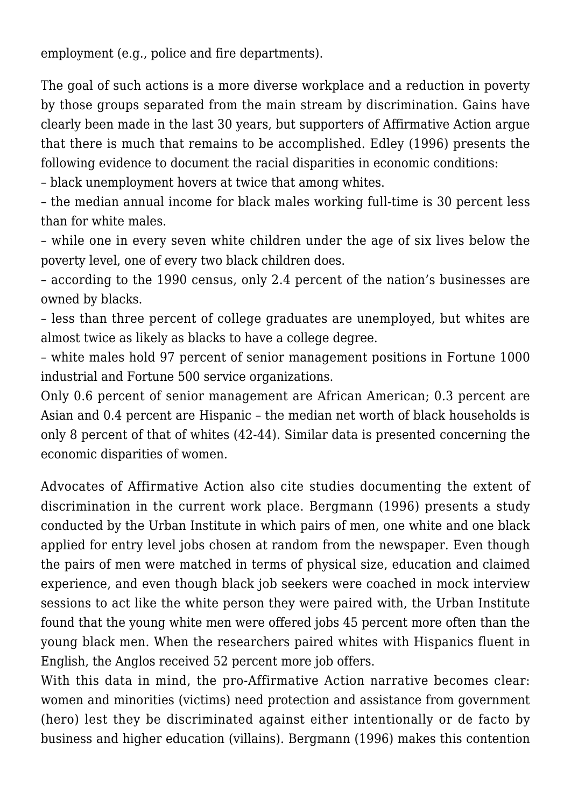employment (e.g., police and fire departments).

The goal of such actions is a more diverse workplace and a reduction in poverty by those groups separated from the main stream by discrimination. Gains have clearly been made in the last 30 years, but supporters of Affirmative Action argue that there is much that remains to be accomplished. Edley (1996) presents the following evidence to document the racial disparities in economic conditions:

– black unemployment hovers at twice that among whites.

– the median annual income for black males working full-time is 30 percent less than for white males.

– while one in every seven white children under the age of six lives below the poverty level, one of every two black children does.

– according to the 1990 census, only 2.4 percent of the nation's businesses are owned by blacks.

– less than three percent of college graduates are unemployed, but whites are almost twice as likely as blacks to have a college degree.

– white males hold 97 percent of senior management positions in Fortune 1000 industrial and Fortune 500 service organizations.

Only 0.6 percent of senior management are African American; 0.3 percent are Asian and 0.4 percent are Hispanic – the median net worth of black households is only 8 percent of that of whites (42-44). Similar data is presented concerning the economic disparities of women.

Advocates of Affirmative Action also cite studies documenting the extent of discrimination in the current work place. Bergmann (1996) presents a study conducted by the Urban Institute in which pairs of men, one white and one black applied for entry level jobs chosen at random from the newspaper. Even though the pairs of men were matched in terms of physical size, education and claimed experience, and even though black job seekers were coached in mock interview sessions to act like the white person they were paired with, the Urban Institute found that the young white men were offered jobs 45 percent more often than the young black men. When the researchers paired whites with Hispanics fluent in English, the Anglos received 52 percent more job offers.

With this data in mind, the pro-Affirmative Action narrative becomes clear: women and minorities (victims) need protection and assistance from government (hero) lest they be discriminated against either intentionally or de facto by business and higher education (villains). Bergmann (1996) makes this contention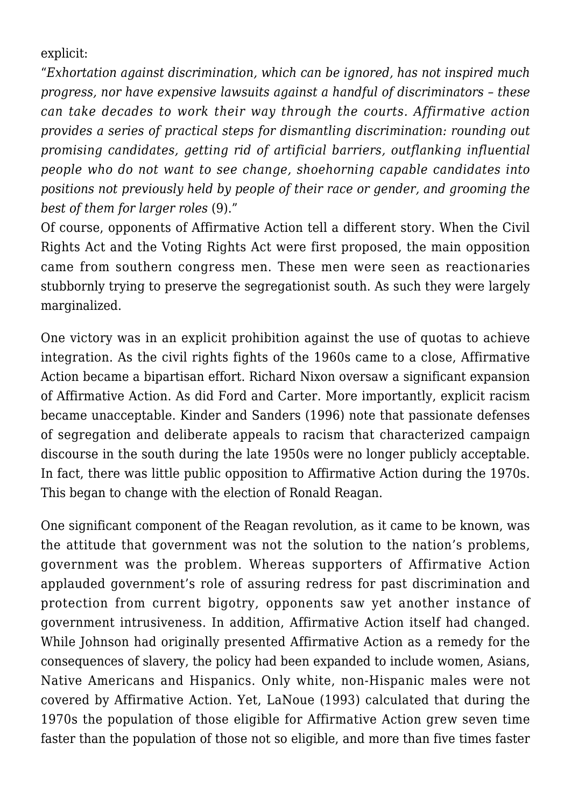explicit:

"*Exhortation against discrimination, which can be ignored, has not inspired much progress, nor have expensive lawsuits against a handful of discriminators – these can take decades to work their way through the courts. Affirmative action provides a series of practical steps for dismantling discrimination: rounding out promising candidates, getting rid of artificial barriers, outflanking influential people who do not want to see change, shoehorning capable candidates into positions not previously held by people of their race or gender, and grooming the best of them for larger roles* (9)."

Of course, opponents of Affirmative Action tell a different story. When the Civil Rights Act and the Voting Rights Act were first proposed, the main opposition came from southern congress men. These men were seen as reactionaries stubbornly trying to preserve the segregationist south. As such they were largely marginalized.

One victory was in an explicit prohibition against the use of quotas to achieve integration. As the civil rights fights of the 1960s came to a close, Affirmative Action became a bipartisan effort. Richard Nixon oversaw a significant expansion of Affirmative Action. As did Ford and Carter. More importantly, explicit racism became unacceptable. Kinder and Sanders (1996) note that passionate defenses of segregation and deliberate appeals to racism that characterized campaign discourse in the south during the late 1950s were no longer publicly acceptable. In fact, there was little public opposition to Affirmative Action during the 1970s. This began to change with the election of Ronald Reagan.

One significant component of the Reagan revolution, as it came to be known, was the attitude that government was not the solution to the nation's problems, government was the problem. Whereas supporters of Affirmative Action applauded government's role of assuring redress for past discrimination and protection from current bigotry, opponents saw yet another instance of government intrusiveness. In addition, Affirmative Action itself had changed. While Johnson had originally presented Affirmative Action as a remedy for the consequences of slavery, the policy had been expanded to include women, Asians, Native Americans and Hispanics. Only white, non-Hispanic males were not covered by Affirmative Action. Yet, LaNoue (1993) calculated that during the 1970s the population of those eligible for Affirmative Action grew seven time faster than the population of those not so eligible, and more than five times faster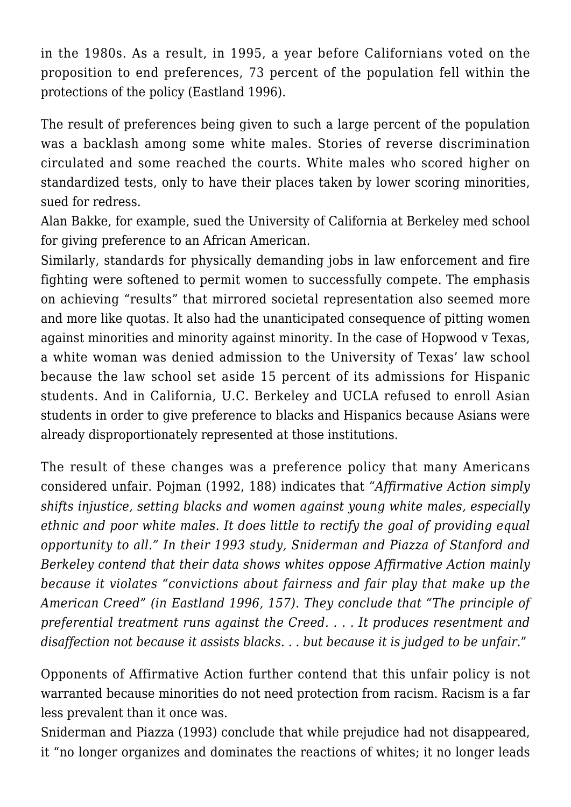in the 1980s. As a result, in 1995, a year before Californians voted on the proposition to end preferences, 73 percent of the population fell within the protections of the policy (Eastland 1996).

The result of preferences being given to such a large percent of the population was a backlash among some white males. Stories of reverse discrimination circulated and some reached the courts. White males who scored higher on standardized tests, only to have their places taken by lower scoring minorities, sued for redress.

Alan Bakke, for example, sued the University of California at Berkeley med school for giving preference to an African American.

Similarly, standards for physically demanding jobs in law enforcement and fire fighting were softened to permit women to successfully compete. The emphasis on achieving "results" that mirrored societal representation also seemed more and more like quotas. It also had the unanticipated consequence of pitting women against minorities and minority against minority. In the case of Hopwood v Texas, a white woman was denied admission to the University of Texas' law school because the law school set aside 15 percent of its admissions for Hispanic students. And in California, U.C. Berkeley and UCLA refused to enroll Asian students in order to give preference to blacks and Hispanics because Asians were already disproportionately represented at those institutions.

The result of these changes was a preference policy that many Americans considered unfair. Pojman (1992, 188) indicates that "*Affirmative Action simply shifts injustice, setting blacks and women against young white males, especially ethnic and poor white males. It does little to rectify the goal of providing equal opportunity to all." In their 1993 study, Sniderman and Piazza of Stanford and Berkeley contend that their data shows whites oppose Affirmative Action mainly because it violates "convictions about fairness and fair play that make up the American Creed" (in Eastland 1996, 157). They conclude that "The principle of preferential treatment runs against the Creed. . . . It produces resentment and disaffection not because it assists blacks. . . but because it is judged to be unfair*."

Opponents of Affirmative Action further contend that this unfair policy is not warranted because minorities do not need protection from racism. Racism is a far less prevalent than it once was.

Sniderman and Piazza (1993) conclude that while prejudice had not disappeared, it "no longer organizes and dominates the reactions of whites; it no longer leads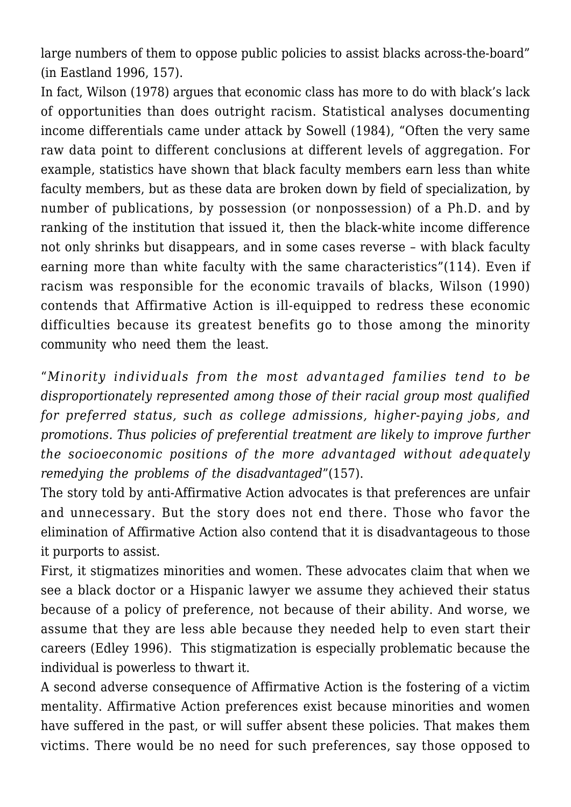large numbers of them to oppose public policies to assist blacks across-the-board" (in Eastland 1996, 157).

In fact, Wilson (1978) argues that economic class has more to do with black's lack of opportunities than does outright racism. Statistical analyses documenting income differentials came under attack by Sowell (1984), "Often the very same raw data point to different conclusions at different levels of aggregation. For example, statistics have shown that black faculty members earn less than white faculty members, but as these data are broken down by field of specialization, by number of publications, by possession (or nonpossession) of a Ph.D. and by ranking of the institution that issued it, then the black-white income difference not only shrinks but disappears, and in some cases reverse – with black faculty earning more than white faculty with the same characteristics"(114). Even if racism was responsible for the economic travails of blacks, Wilson (1990) contends that Affirmative Action is ill-equipped to redress these economic difficulties because its greatest benefits go to those among the minority community who need them the least.

"*Minority individuals from the most advantaged families tend to be disproportionately represented among those of their racial group most qualified for preferred status, such as college admissions, higher-paying jobs, and promotions. Thus policies of preferential treatment are likely to improve further the socioeconomic positions of the more advantaged without adequately remedying the problems of the disadvantaged*"(157).

The story told by anti-Affirmative Action advocates is that preferences are unfair and unnecessary. But the story does not end there. Those who favor the elimination of Affirmative Action also contend that it is disadvantageous to those it purports to assist.

First, it stigmatizes minorities and women. These advocates claim that when we see a black doctor or a Hispanic lawyer we assume they achieved their status because of a policy of preference, not because of their ability. And worse, we assume that they are less able because they needed help to even start their careers (Edley 1996). This stigmatization is especially problematic because the individual is powerless to thwart it.

A second adverse consequence of Affirmative Action is the fostering of a victim mentality. Affirmative Action preferences exist because minorities and women have suffered in the past, or will suffer absent these policies. That makes them victims. There would be no need for such preferences, say those opposed to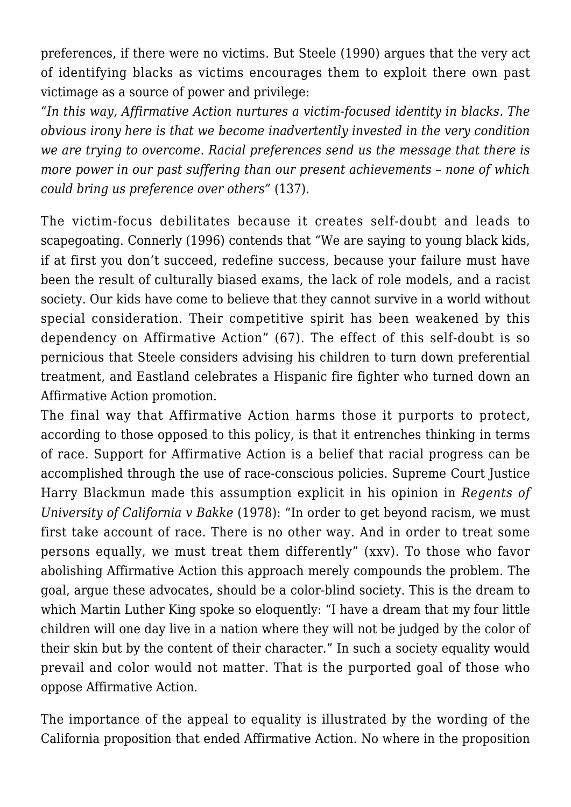preferences, if there were no victims. But Steele (1990) argues that the very act of identifying blacks as victims encourages them to exploit there own past victimage as a source of power and privilege:

"*In this way, Affirmative Action nurtures a victim-focused identity in blacks. The obvious irony here is that we become inadvertently invested in the very condition we are trying to overcome. Racial preferences send us the message that there is more power in our past suffering than our present achievements – none of which could bring us preference over others"* (137).

The victim-focus debilitates because it creates self-doubt and leads to scapegoating. Connerly (1996) contends that "We are saying to young black kids, if at first you don't succeed, redefine success, because your failure must have been the result of culturally biased exams, the lack of role models, and a racist society. Our kids have come to believe that they cannot survive in a world without special consideration. Their competitive spirit has been weakened by this dependency on Affirmative Action" (67). The effect of this self-doubt is so pernicious that Steele considers advising his children to turn down preferential treatment, and Eastland celebrates a Hispanic fire fighter who turned down an Affirmative Action promotion.

The final way that Affirmative Action harms those it purports to protect, according to those opposed to this policy, is that it entrenches thinking in terms of race. Support for Affirmative Action is a belief that racial progress can be accomplished through the use of race-conscious policies. Supreme Court Justice Harry Blackmun made this assumption explicit in his opinion in *Regents of University of California v Bakke* (1978): "In order to get beyond racism, we must first take account of race. There is no other way. And in order to treat some persons equally, we must treat them differently" (xxv). To those who favor abolishing Affirmative Action this approach merely compounds the problem. The goal, argue these advocates, should be a color-blind society. This is the dream to which Martin Luther King spoke so eloquently: "I have a dream that my four little children will one day live in a nation where they will not be judged by the color of their skin but by the content of their character." In such a society equality would prevail and color would not matter. That is the purported goal of those who oppose Affirmative Action.

The importance of the appeal to equality is illustrated by the wording of the California proposition that ended Affirmative Action. No where in the proposition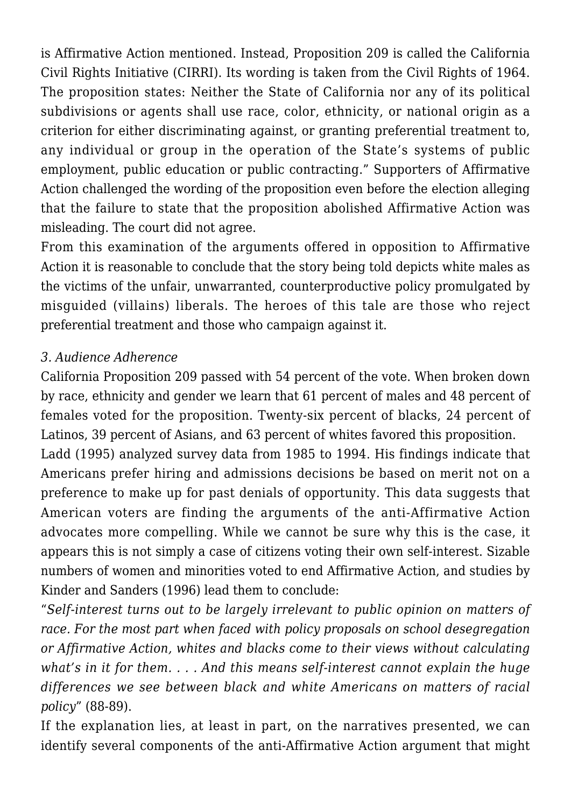is Affirmative Action mentioned. Instead, Proposition 209 is called the California Civil Rights Initiative (CIRRI). Its wording is taken from the Civil Rights of 1964. The proposition states: Neither the State of California nor any of its political subdivisions or agents shall use race, color, ethnicity, or national origin as a criterion for either discriminating against, or granting preferential treatment to, any individual or group in the operation of the State's systems of public employment, public education or public contracting." Supporters of Affirmative Action challenged the wording of the proposition even before the election alleging that the failure to state that the proposition abolished Affirmative Action was misleading. The court did not agree.

From this examination of the arguments offered in opposition to Affirmative Action it is reasonable to conclude that the story being told depicts white males as the victims of the unfair, unwarranted, counterproductive policy promulgated by misguided (villains) liberals. The heroes of this tale are those who reject preferential treatment and those who campaign against it.

## *3. Audience Adherence*

California Proposition 209 passed with 54 percent of the vote. When broken down by race, ethnicity and gender we learn that 61 percent of males and 48 percent of females voted for the proposition. Twenty-six percent of blacks, 24 percent of Latinos, 39 percent of Asians, and 63 percent of whites favored this proposition.

Ladd (1995) analyzed survey data from 1985 to 1994. His findings indicate that Americans prefer hiring and admissions decisions be based on merit not on a preference to make up for past denials of opportunity. This data suggests that American voters are finding the arguments of the anti-Affirmative Action advocates more compelling. While we cannot be sure why this is the case, it appears this is not simply a case of citizens voting their own self-interest. Sizable numbers of women and minorities voted to end Affirmative Action, and studies by Kinder and Sanders (1996) lead them to conclude:

"*Self-interest turns out to be largely irrelevant to public opinion on matters of race. For the most part when faced with policy proposals on school desegregation or Affirmative Action, whites and blacks come to their views without calculating what's in it for them. . . . And this means self-interest cannot explain the huge differences we see between black and white Americans on matters of racial policy*" (88-89).

If the explanation lies, at least in part, on the narratives presented, we can identify several components of the anti-Affirmative Action argument that might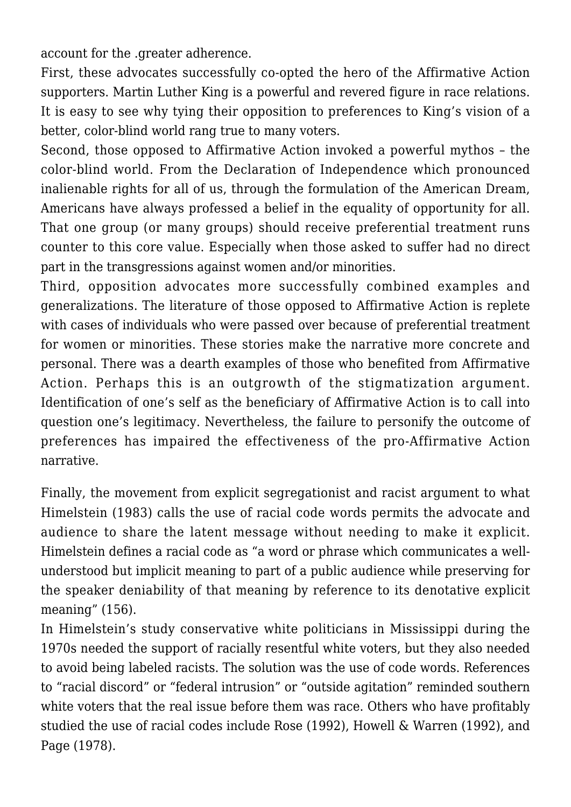account for the .greater adherence.

First, these advocates successfully co-opted the hero of the Affirmative Action supporters. Martin Luther King is a powerful and revered figure in race relations. It is easy to see why tying their opposition to preferences to King's vision of a better, color-blind world rang true to many voters.

Second, those opposed to Affirmative Action invoked a powerful mythos – the color-blind world. From the Declaration of Independence which pronounced inalienable rights for all of us, through the formulation of the American Dream, Americans have always professed a belief in the equality of opportunity for all. That one group (or many groups) should receive preferential treatment runs counter to this core value. Especially when those asked to suffer had no direct part in the transgressions against women and/or minorities.

Third, opposition advocates more successfully combined examples and generalizations. The literature of those opposed to Affirmative Action is replete with cases of individuals who were passed over because of preferential treatment for women or minorities. These stories make the narrative more concrete and personal. There was a dearth examples of those who benefited from Affirmative Action. Perhaps this is an outgrowth of the stigmatization argument. Identification of one's self as the beneficiary of Affirmative Action is to call into question one's legitimacy. Nevertheless, the failure to personify the outcome of preferences has impaired the effectiveness of the pro-Affirmative Action narrative.

Finally, the movement from explicit segregationist and racist argument to what Himelstein (1983) calls the use of racial code words permits the advocate and audience to share the latent message without needing to make it explicit. Himelstein defines a racial code as "a word or phrase which communicates a wellunderstood but implicit meaning to part of a public audience while preserving for the speaker deniability of that meaning by reference to its denotative explicit meaning" (156).

In Himelstein's study conservative white politicians in Mississippi during the 1970s needed the support of racially resentful white voters, but they also needed to avoid being labeled racists. The solution was the use of code words. References to "racial discord" or "federal intrusion" or "outside agitation" reminded southern white voters that the real issue before them was race. Others who have profitably studied the use of racial codes include Rose (1992), Howell & Warren (1992), and Page (1978).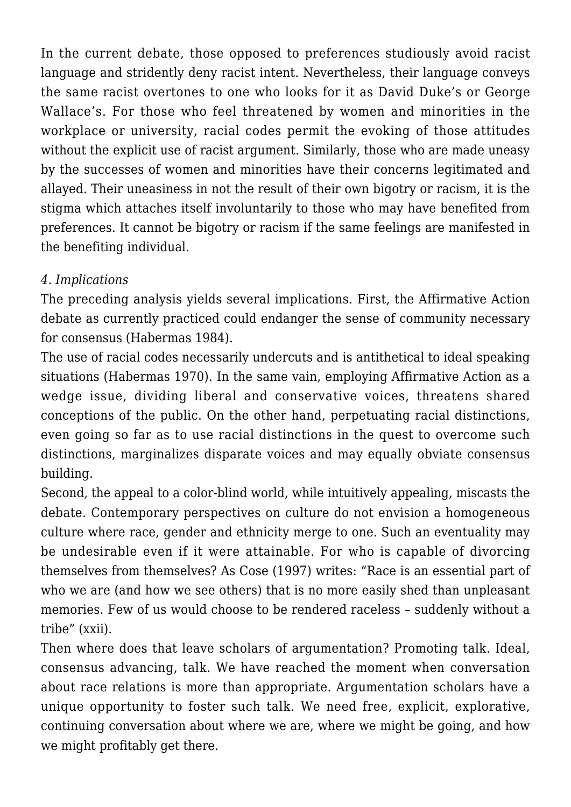In the current debate, those opposed to preferences studiously avoid racist language and stridently deny racist intent. Nevertheless, their language conveys the same racist overtones to one who looks for it as David Duke's or George Wallace's. For those who feel threatened by women and minorities in the workplace or university, racial codes permit the evoking of those attitudes without the explicit use of racist argument. Similarly, those who are made uneasy by the successes of women and minorities have their concerns legitimated and allayed. Their uneasiness in not the result of their own bigotry or racism, it is the stigma which attaches itself involuntarily to those who may have benefited from preferences. It cannot be bigotry or racism if the same feelings are manifested in the benefiting individual.

# *4. Implications*

The preceding analysis yields several implications. First, the Affirmative Action debate as currently practiced could endanger the sense of community necessary for consensus (Habermas 1984).

The use of racial codes necessarily undercuts and is antithetical to ideal speaking situations (Habermas 1970). In the same vain, employing Affirmative Action as a wedge issue, dividing liberal and conservative voices, threatens shared conceptions of the public. On the other hand, perpetuating racial distinctions, even going so far as to use racial distinctions in the quest to overcome such distinctions, marginalizes disparate voices and may equally obviate consensus building.

Second, the appeal to a color-blind world, while intuitively appealing, miscasts the debate. Contemporary perspectives on culture do not envision a homogeneous culture where race, gender and ethnicity merge to one. Such an eventuality may be undesirable even if it were attainable. For who is capable of divorcing themselves from themselves? As Cose (1997) writes: "Race is an essential part of who we are (and how we see others) that is no more easily shed than unpleasant memories. Few of us would choose to be rendered raceless – suddenly without a tribe" (xxii).

Then where does that leave scholars of argumentation? Promoting talk. Ideal, consensus advancing, talk. We have reached the moment when conversation about race relations is more than appropriate. Argumentation scholars have a unique opportunity to foster such talk. We need free, explicit, explorative, continuing conversation about where we are, where we might be going, and how we might profitably get there.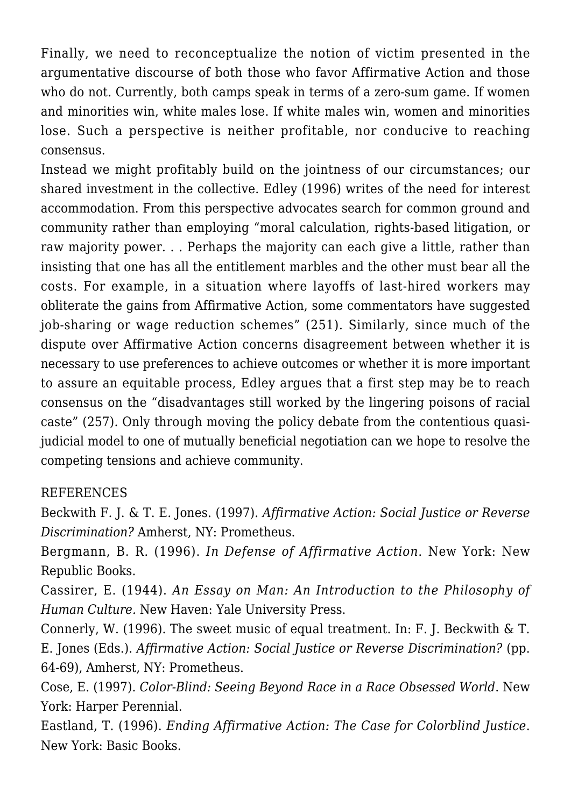Finally, we need to reconceptualize the notion of victim presented in the argumentative discourse of both those who favor Affirmative Action and those who do not. Currently, both camps speak in terms of a zero-sum game. If women and minorities win, white males lose. If white males win, women and minorities lose. Such a perspective is neither profitable, nor conducive to reaching consensus.

Instead we might profitably build on the jointness of our circumstances; our shared investment in the collective. Edley (1996) writes of the need for interest accommodation. From this perspective advocates search for common ground and community rather than employing "moral calculation, rights-based litigation, or raw majority power. . . Perhaps the majority can each give a little, rather than insisting that one has all the entitlement marbles and the other must bear all the costs. For example, in a situation where layoffs of last-hired workers may obliterate the gains from Affirmative Action, some commentators have suggested job-sharing or wage reduction schemes" (251). Similarly, since much of the dispute over Affirmative Action concerns disagreement between whether it is necessary to use preferences to achieve outcomes or whether it is more important to assure an equitable process, Edley argues that a first step may be to reach consensus on the "disadvantages still worked by the lingering poisons of racial caste" (257). Only through moving the policy debate from the contentious quasijudicial model to one of mutually beneficial negotiation can we hope to resolve the competing tensions and achieve community.

### REFERENCES

Beckwith F. J. & T. E. Jones. (1997). *Affirmative Action: Social Justice or Reverse Discrimination?* Amherst, NY: Prometheus.

Bergmann, B. R. (1996). *In Defense of Affirmative Action*. New York: New Republic Books.

Cassirer, E. (1944). *An Essay on Man: An Introduction to the Philosophy of Human Culture.* New Haven: Yale University Press.

Connerly, W. (1996). The sweet music of equal treatment. In: F. J. Beckwith & T. E. Jones (Eds.). *Affirmative Action: Social Justice or Reverse Discrimination?* (pp. 64-69), Amherst, NY: Prometheus.

Cose, E. (1997). *Color-Blind: Seeing Beyond Race in a Race Obsessed World*. New York: Harper Perennial.

Eastland, T. (1996). *Ending Affirmative Action: The Case for Colorblind Justice*. New York: Basic Books.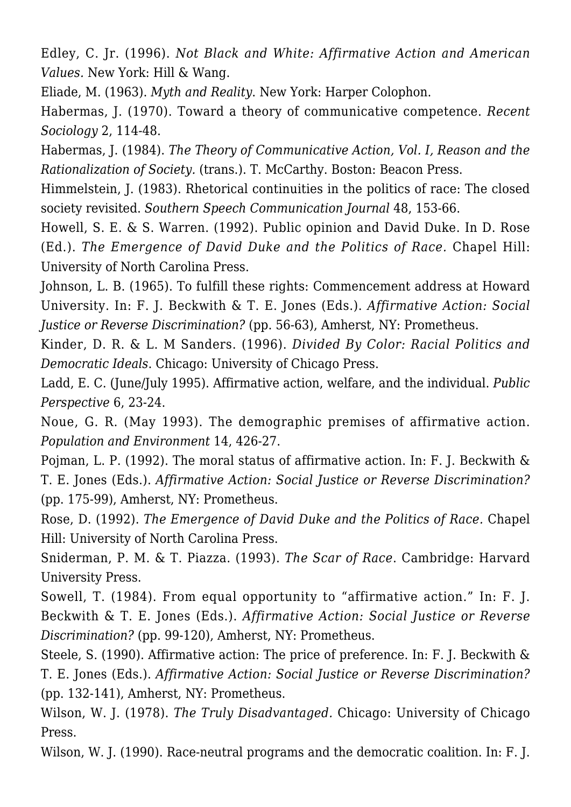Edley, C. Jr. (1996). *Not Black and White: Affirmative Action and American Values.* New York: Hill & Wang.

Eliade, M. (1963). *Myth and Reality*. New York: Harper Colophon.

Habermas, J. (1970). Toward a theory of communicative competence. *Recent Sociology* 2, 114-48.

Habermas, J. (1984). *The Theory of Communicative Action, Vol. I, Reason and the Rationalization of Society.* (trans.). T. McCarthy. Boston: Beacon Press.

Himmelstein, J. (1983). Rhetorical continuities in the politics of race: The closed society revisited. *Southern Speech Communication Journal* 48, 153-66.

Howell, S. E. & S. Warren. (1992). Public opinion and David Duke. In D. Rose (Ed.). *The Emergence of David Duke and the Politics of Race.* Chapel Hill: University of North Carolina Press.

Johnson, L. B. (1965). To fulfill these rights: Commencement address at Howard University. In: F. J. Beckwith & T. E. Jones (Eds.). *Affirmative Action: Social Justice or Reverse Discrimination?* (pp. 56-63), Amherst, NY: Prometheus.

Kinder, D. R. & L. M Sanders. (1996). *Divided By Color: Racial Politics and Democratic Ideals*. Chicago: University of Chicago Press.

Ladd, E. C. (June/July 1995). Affirmative action, welfare, and the individual. *Public Perspective* 6, 23-24.

Noue, G. R. (May 1993). The demographic premises of affirmative action. *Population and Environment* 14, 426-27.

Pojman, L. P. (1992). The moral status of affirmative action. In: F. J. Beckwith & T. E. Jones (Eds.). *Affirmative Action: Social Justice or Reverse Discrimination?* (pp. 175-99), Amherst, NY: Prometheus.

Rose, D. (1992). *The Emergence of David Duke and the Politics of Race.* Chapel Hill: University of North Carolina Press.

Sniderman, P. M. & T. Piazza. (1993). *The Scar of Race*. Cambridge: Harvard University Press.

Sowell, T. (1984). From equal opportunity to "affirmative action." In: F. J. Beckwith & T. E. Jones (Eds.). *Affirmative Action: Social Justice or Reverse Discrimination?* (pp. 99-120), Amherst, NY: Prometheus.

Steele, S. (1990). Affirmative action: The price of preference. In: F. J. Beckwith & T. E. Jones (Eds.). *Affirmative Action: Social Justice or Reverse Discrimination?* (pp. 132-141), Amherst, NY: Prometheus.

Wilson, W. J. (1978). *The Truly Disadvantaged.* Chicago: University of Chicago Press.

Wilson, W. J. (1990). Race-neutral programs and the democratic coalition. In: F. J.